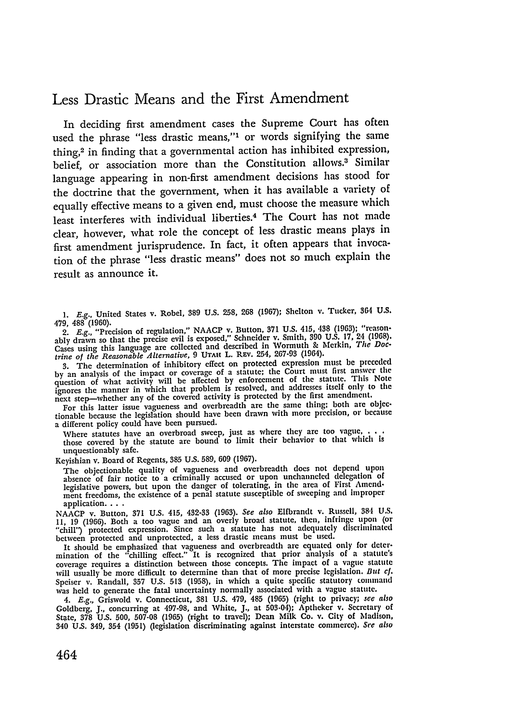## Less Drastic Means and the First Amendment

In deciding first amendment cases the Supreme Court has often used the phrase "less drastic means,"' or words signifying the same thing,2 in finding that a governmental action has inhibited expression, belief, or association more than the Constitution allows.<sup>3</sup> Similar language appearing in non-first amendment decisions has stood for the doctrine that the government, when it has available a variety of equally effective means to a given end, must choose the measure which least interferes with individual liberties.<sup>4</sup> The Court has not made clear, however, what role the concept of less drastic means plays in first amendment jurisprudence. In fact, it often appears that invocation of the phrase "less drastic means" does not so much explain the result as announce it.

**1. E.g.,** United States v. Robel, **889 U.S.** 258, **268** (1967); Shelton v. Tucker, 364 **U.S.** 479, 488 (1960).

2. *E.g.,* "Precision of regulation," NAACP v. Button, **371 U.S. 415, 438 (1963);** "reasonably drawn so that the precise evil is exposed," Schneider v. Smith, **390 U.S. 17,** 24 **(1968).** Cases using this language are collected and described in Wormuth **&** Merkin, *The Doctrine of the Reasonable Alternative,* 9 UTAH L. **REV.** 254, **267-93** (1964).

"3. The determination of inhibitory effect on protected expression must be preceded<br>by an analysis of the impact or coverage of a statute; the Court must first answer the<br>question of what activity will be affected by enfor ignores the manner in which that problem is resolved, and addresses itself only to the next step-whether any of the covered activity is protected by the first amendment.

For this latter issue vagueness and overbreadth are the same thing; both are objectionable because the legislation should have been drawn with more precision, or because a different policy could have been pursued.

Where statutes have an overbroad sweep, just as where they are too vague, . those covered by the statute are bound to limit their behavior to that which is unquestionably safe.

Keyishian v. Board of Regents, **385** U.S. 589, 609 (1967).

The objectionable quality of vagueness and overbreadth does not depend upon absence of fair notice to a criminally accused or upon unchanneled delegation of legislative powers, but upon the danger of tolerating, in the area of First Amend-ment freedoms, the existence of a penal statute susceptible of sweeping and improper application **. ..**

NAACP v. Button, **371** U.S. 415, 432-33 (1963). *See also* Elfbrandt v. Russell, 384 U.S. **11,** 19 (1966). Both a too vague and an overly broad statute, then, infringe upon (or "chill') protected expression. Since such a statute has not adequately dliscriminated between protected and unprotected, a less drastic means must be used.

It should be emphasized that vagueness and overbreadth **are** equated only for determination of the "chilling effect." It is recognized that prior analysis of a statute's coverage requires a distinction between those concepts. The impact of a vague statute will usually be more difficult to determine than that of more precise legislation. *But cf.* Speiser v. Randall, 357 U.S. 513 (1958), in which a quite specific statutory command was held to generate the fatal uncertainty normally associated with a vague statute.

4. *E.g.,* Griswold v. Connecticut, **381** U.S. 479, 485 (1965) (right to privacy; *see also* Goldberg, J., concurring at 497-98, and White, J., at 503-04); Aptheker v. Secretary of State, **378** U.S. 500, 507-08 (1965) (right to travel); Dean Milk Co. v. City of Madison, 340 U.S. 349, 354 (1951) (legislation discriminating against interstate commerce). *See also*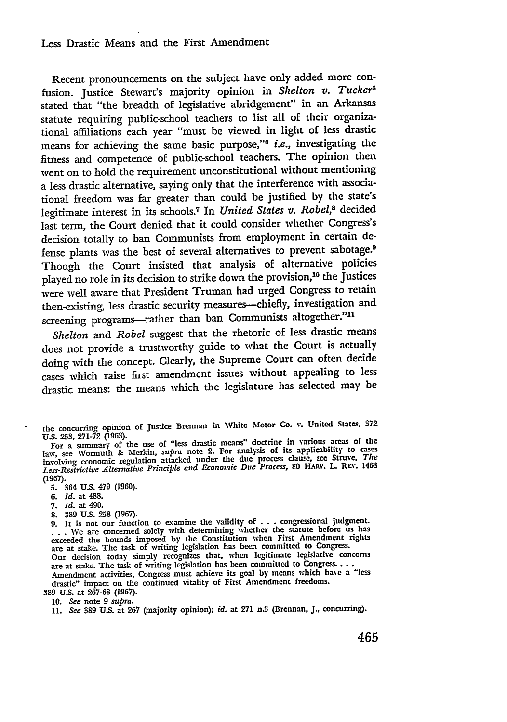## Less Drastic Means and the First Amendment

Recent pronouncements on the subject have only added more confusion. Justice Stewart's majority opinion in *Shelton v. Tucker5* stated that "the breadth of legislative abridgement" in an Arkansas statute requiring public-school teachers to list all of their organizational affiliations each year "must be viewed in light of less drastic means for achieving the same basic purpose,"<sup>6</sup> i.e., investigating the fitness and competence of public-school teachers. The opinion then went on to hold the requirement unconstitutional without mentioning a less drastic alternative, saying only that the interference with associational freedom was far greater than could be justified by the state's legitimate interest in its schools.<sup>7</sup> In *United States v. Robel*,<sup>8</sup> decided last term, the Court denied that it could consider whether Congress's decision totally to ban Communists from employment in certain defense plants was the best of several alternatives to prevent sabotage.9 Though the Court insisted that analysis of alternative policies played no role in its decision to strike down the provision,<sup>10</sup> the Justices were well aware that President Truman had urged Congress to retain then-existing, less drastic security measures--chiefly, investigation and screening programs-rather than ban Communists altogether."<sup>11</sup>

*Shelton and Robel* suggest that the rhetoric of less drastic means does not provide a trustworthy guide to what the Court is actually doing with the concept. Clearly, the Supreme Court can often decide cases which raise first amendment issues without appealing to less drastic means: the means which the legislature has selected may be

**5.** 364 **US.** 479 **(1960).**

**6.** *Id.* at 488.

- **7.** *Id.* at 490.
- **8.** 389 **U.S.** 258 **(1967).**

**9.** It is not our function to examine the validity of **. . .** congressional judgment. **. . .** We are concerned solely with determining whether the statute before us has exceeded the bounds imposed **by** the Constitution when First Amendment rights are at stake. The task of writing legislation has been committed to Congress. Our decision today simply recognizes that, when legitimate legislative concerns are at stake. The task of writing legislation has been committed to Congress.. Amendment activities, Congress must achieve its goal **by** means which have a **"less** drastic" impact on the continued vitality of First Amendment freedoms. 389 **U.S.** at **267-68 (1967).**

**10.** *See* note **9** *supra.*

**11.** *See* 389 **U.S.** at 267 (majority opinion); *id.* at **271** n.3 (Brennan, J., concurring).

the concurring opinion of Justice Brennan in White Motor Co. v. United States. **<sup>372</sup>** U.S. 253, **271-72** (1963).

For a summary of the use of "less drastic means" doctrine in various areas of the law, see Wormuth & Merkin, *supra* note 2. For analysis of its applicability to cases<br>involving economic regulation attacked under the due process clause, see Struve. *There* 1469 *Less-Restrictive Alternative Principle and Economic Due Process, 80 HAry. L* REV. 1463 **(1967).**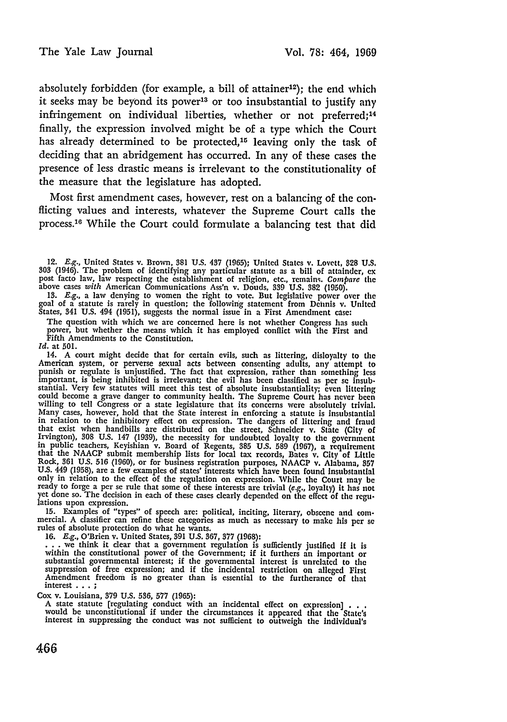absolutely forbidden (for example, a bill of attainer<sup>12</sup>); the end which it seeks may be beyond its power<sup>13</sup> or too insubstantial to justify any infringement on individual liberties, whether or not preferred;<sup>14</sup> finally, the expression involved might be of a type which the Court has already determined to be protected,<sup>15</sup> leaving only the task of deciding that an abridgement has occurred. In any of these cases the presence of less drastic means is irrelevant to the constitutionality of the measure that the legislature has adopted.

Most first amendment cases, however, rest on a balancing of the conflicting values and interests, whatever the Supreme Court calls the process.<sup>16</sup> While the Court could formulate a balancing test that did

13. *E.g.*, a law denying to women the right to vote. But legislative power over the goal of a statute is rarely in question; the following statement from Dehnis v. United

States, 341 **U.S.** 494 **(1951),** suggests the normal issue in a First Amendment case: The question with which we are concerned here is not whether Congress has such The question with which we are concerned here is not whether Congress has such power, but whether the means which it has employed conflict with the First and Fifth Amendments to the Constitution.

*Id.* at **501.**

14. **A** court might decide that for certain evils, such as littering, disloyalty to the American system, or perverse sexual acts between consenting adults, any attempt to punish or regulate is unjustified. The fact that expression, rather than something less important, is being inhibited is irrelevant; the ev stantial. Very few statutes will meet this test of absolute insubstantiality; even littering<br>could become a grave danger to community health. The Supreme Court has never been<br>willing to tell Congress or a state legislature in relation to the inhibitory effect on expression. The dangers of littering and fraud that exist when handbills are distributed on the street, Schneider v. State (City **of** Irvington), 308 U.S. 147 (1939), the necessity for undoubted loyalty to the government<br>in public teachers, Keyishian v. Board of Regents, 385 U.S. 589 (1967), a requirement<br>that the NAACP submit membership lists for local Rock, **361 U.S. 516 (1960),** or for business registration purposes, **NAACP** v. Alabama, **857 U.S.** 449 **(1958),** are a few examples of states' interests which have been found Insubstantial only in relation to the effect of the regulation on expression. While the Court may **be** ready to forge a per se rule that some of these interests are trivial (e.g., loyalty) it has not yet done so. The decision in each of these cases clearly depended on the effect of the regu-<br>lations upon expression.

14100 a upon expression.<br>
15. Examples of "types" of speech are: political, inciting, literary, obscene and com-<br>
mercial. A classifier can refine these categories as much as necessary to make his per se<br>
rules of absolute

**16. E.g.,** O'Brien v. United States, **391 U.S. 867, 377 (1968): . .** we think it clear that a government regulation is sufficiently justified if It is within the constitutional power of the Government; if it furthers an important or substantial governmental interest; if the governmental interest is unrelated to the **suppression** of free expression; and if the incidental restriction on alleged First **Amendment** freedom is no greater than is essential to the furtherance of that interest **.. .;**

Cox v. Louisiana, 379 U.S. 536, 577 (1965):<br>A state statute [regulating conduct with an incidental effect on expression] . . .<br>would be unconstitutional if under the circumstances it appeared that the State's interest in suppressing the conduct was not sufficient to outweigh the Individual's

<sup>12.</sup> **E.g.,** United States v. Brown, **381** U.S. 437 **(1965);** United States v. Lovett, **828 U.S.** 303 (1946). The problem of identifying any particular statute as a bill of attainder, expost facto law, law respecting the establishment of religion, etc., remains. Compare the above cases with American Communications Ass'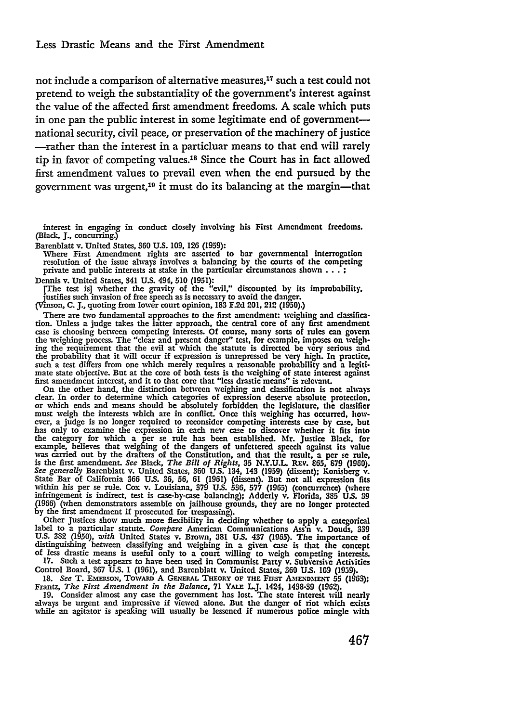not include a comparison of alternative measures,<sup>17</sup> such a test could not pretend to weigh the substantiality of the government's interest against the value of the affected first amendment freedoms. **A** scale which puts in one pan the public interest in some legitimate end of governmentnational security, civil peace, or preservation of the machinery of justice -rather than the interest in a particluar means to that end **will** rarely tip in favor of competing values.<sup>18</sup> Since the Court has in fact allowed first amendment values to prevail even when the end pursued **by** the government was urgent,19 it must do its balancing at the margin-that

interest in engaging in conduct closely involving his First Amendment freedoms. (Black, **J.,** concurring.)

Barenblatt v. United States, **360 U.S. 109, 126 (1959):**

Where First Amendment rights are asserted to bar governmental interrogation resolution of the issue always involves a balancing by the courts of the competing private and public interests at stake in the particular circumstances shown **... ;**

Dennis v. United States, 341 **U.S.** 494, 510 **(1951):**

[The test is] whether the gravity of the "evil," discounted by its improbability. justifies such invasion of free speech as is necessary to avoid the danger. (Vinson, **C. J.,** quoting from lower court opinion, **183** F.2d 201, 212 (1950).)

There are two fundamental approaches to the first amendment: weighing and classification. Unless a judge takes the latter approach, the central core of any first amendment<br>case is choosing between competing interests. Of course, many sorts of rules can govern<br>the weighing process. The "clear and present d the probability that it will occur if expression is unrepressed be very high. In practice, such a test differs from one which merely requires a reasonable probability and a legitimate state objective. But at the core of bo

first amendment interest, and it to that core that "less drastic means" is relevant.<br>On the other hand, the distinction between weighing and classification is not always<br>clear. In order to determine which categories of exp must weigh the interests which are in conflict. Once this weighing has occurred, how-ever, a judge is no longer required to reconsider competing interests case by case, but has only to examine the expression in each new case to discover whether it fits into the category for which a per se rule has been established. Mr. Justice Black, for example, believes that weighing of the dangers of unfettered speech against its value was carried out by the drafters of the Constitution, a *See generally* Barenblatt v. United States, **360 U.S.** 134, 143 (1959) (dissent); Konisberg v. State Bar of California **366 US. 36, 56, 61** (1961) (dissent). But not all expression fits within his per se rule. Cox v. Louisiana, **379 U.S. 536, 577 (1965)** (concurrence) (where infringement is indirect, test is case-by-case balancing); Adderly v. Florida, **385 US. 39 (1966)** (when demonstrators assemble on jailhouse grounds, they are no longer protected by the first amendment **if** prosecuted for trespassing).

Other Justices show much more flexibility in deciding whether to apply a categorical<br>label to a particular statute. Compare American Communications Ass'n v. Douds, 339<br>U.S. 382 (1950), with United States v. Brown. 381 U.S. distinguishing between classifying and weighing in a given case is that the concept **of** less drastic means is useful only to a court willing to weigh competing interests.

17. Such a test appears to have been used in Communist Party v. Subversive Activities Control Board, 367 U.S. 1 (1961), and Barenblatt v. United States, 360 U.S. 109 (1959).<br>18. *See* T. EMERSON, TOWARD A GENERAL THEORY OF THE FIRST AMENDMENT 55 (1963)

Frantz, *The First Amendment in the Balance,* **71 YALE UJ.** 1424, **1438-39 (19629).**

**19.** Consider almost any case the government has lost. The state interest will nearly always be urgent and impressive if viewed alone. But the danger of riot which exists while an agitator is speaking will usually be lessened if numerous police mingle with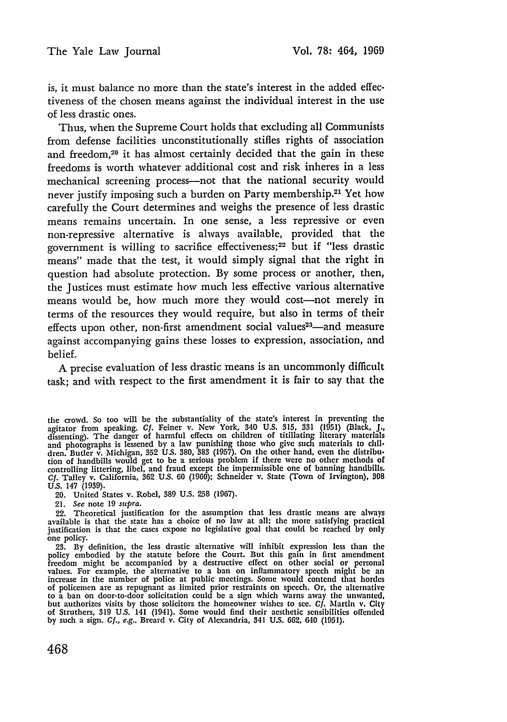is, it must balance no more than the state's interest in the added effectiveness of the chosen means against the individual interest in the use of less drastic ones.

Thus, when the Supreme Court holds that excluding all Communists from defense facilities unconstitutionally stifles rights of association and freedom,20 it has almost certainly decided that the gain in these freedoms is worth whatever additional cost and risk inheres in a less mechanical screening process—not that the national security would never justify imposing such a burden on Party membership.<sup>21</sup> Yet how carefully the Court determines and weighs the presence of less drastic means remains uncertain. In one sense, a less repressive or even non-repressive alternative is always available, provided that the government is willing to sacrifice effectiveness; 22 but if "less drastic means" made that the test, it would simply signal that the right in question had absolute protection. By some process or another, then, the Justices must estimate how much less effective various alternative means would be, how much more they would cost-not merely in terms of the resources they would require, but also in terms of their effects upon other, non-first amendment social values<sup>23</sup>—and measure against accompanying gains these losses to expression, association, and belief.

**A** precise evaluation of less drastic means is an uncommonly difficult task; and with respect to the first amendment it is fair to say that the

20. United States v. Robel, **389** U.S. 258 (1967).

21. See note 19 supra.

22. Theoretical justification for the assumption that less drastic means are always available is that the state has a choice of no law at all; the more satisfying practical justification is that the cases expose no legislative goal that could be reached by only one policy.

23. By definition, the less drastic alternative will inhibit exprcssion less than the policy embodied by the statute before the Court. But this gain in first amendment<br>freedom might be accompanied by a destructive effect on other social or personal<br>values. For example, the alternative to a ban on inflammato to a ban on door-to-door solicitation could be a sign which warns away the unwanted, but authorizes visits by those solicitors the homeowner wishes to see. **Cf.** Martin v. City of Struthers, 319 **US.** 141 (1941). Some would find their aesthetic sensibilities offended by such a sign. **Cf.,** e.g., Breard v. City of Alexandria, 341 U.S. 662, *640* (1951).

the crowd. So too will be the substantiality of the state's interest in preventing the agitator from speaking. **Cf.** Feiner v. New York, 340 U.S. 315, 331 (1951) (Black, J., dissenting). The danger of harmful effects on children of titillating literary materials and photographs is lessened by a law punishing those who give such materials to children. Butler v. Michigan, **352** U.S. 380, 383 (1957). On the other hand, even the distrilb-tion of handbills would get to be a serious problem if there were no other methods of controlling littering, libel, and fraud except the impermissible one of banning handbills. Cf. Talley v. California, 362 U.S. 60 (1960); Schneider v. State (Town of Irvington), **808** U.S. 147 (1939).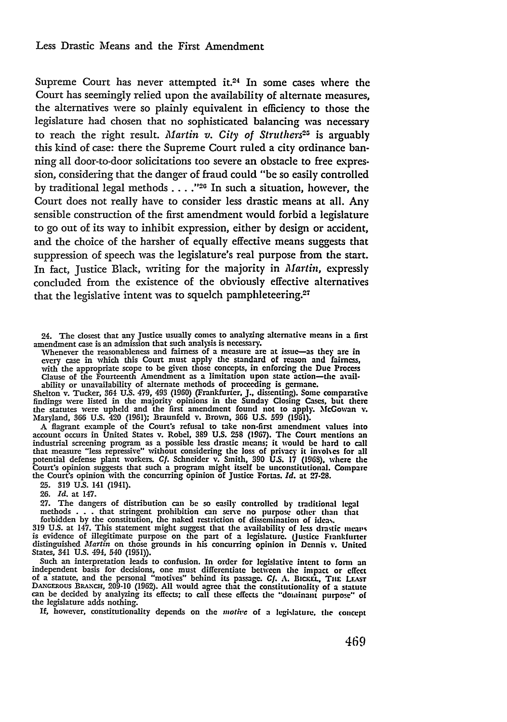Supreme Court has never attempted it.<sup>24</sup> In some cases where the Court has seemingly relied upon the availability of alternate measures, the alternatives were so plainly equivalent in efficiency to those the legislature had chosen that no sophisticated balancing was necessary to reach the right result. *Martin v. City of Struthers*<sup>25</sup> is arguably this kind of case: there the Supreme Court ruled a city ordinance banning all door-to-door solicitations too severe an obstacle to free expression, considering that the danger of fraud could "be so easily controlled by traditional legal methods  $\ldots$ ."<sup>26</sup> In such a situation, however, the Court does not really have to consider less drastic means at all. Any sensible construction of the first amendment would forbid a legislature to go out of its way to inhibit expression, either **by** design or accident, and the choice of the harsher of equally effective means suggests that suppression of speech was the legislature's real purpose from the start. In fact, Justice Black, writing for the majority in *Martin,* expressly concluded from the existence of the obviously effective alternatives that the legislative intent was to squelch pamphleteering.<sup>27</sup>

24. The closest that any Justice usually comes to analyzing alternative means in a first amendment case is an admission that such analysis is necessary. amendment case is an admission that such analysis is necessary. Whenever the reasonableness and fairness of a measure are at issue-as they are in

every case in which this Court must apply the standard of reason and fairness,<br>with the appropriate scope to be given those concepts, in enforcing the Due Process<br>Clause of the Fourteenth Amendment as a limitation upon sta

the statutes were upheld and the first amendment found not to apply. McGowan v. Maryland, 366 U.S. 420 (1961); Braunfeld v. Brown, **366 U.S. 599 (1951).**

A flagrant example of the Court's refusal to take non-first amendment values into<br>account occurs in United States v. Robel, 389 U.S. 258 (1967). The Court mentions an<br>industrial screening program as a possible less drastic that measure "less repressive" without considering the loss of privacy it involhcs for all potential defense plant workers. *Cf.* Schneider v. Smith, **390 U.S.** 17 **(1963).** where the Court's opinion suggests that such a program might itself **be** unconstitutional. Compare the Court's opinion with the concurring opinion of Justice Fortas. *Id.* at **27-28.**

**25.** 319 U.S. 141 (1941).

26. *Id.* at 147.

27. The dangers of distribution can be so easily controlled **by** traditional legal methods . . . that stringent prohibition can serve no purpose other than that

forbidden by the constitution, the naked restriction of dissemination of ideas.<br>319 U.S. at 147. This statement might suggest that the availability of less drastic mean-<br>is evidence of illegitimate purpose on the part of a States, 341 U.S. 494, 540 **(1951)).**

Such an interpretation leads to confusion. In order for legislative intent to fonn an independent basis for decisions, one must differentiate between the impact or effect of a statute, and the personal "motives" behind its passage. *Cf.* **A.** BicEL, **Tiu LEAsr** DANmoRous BRAxcH, **209-10** (1962). All would agree that the constitutionality of a statute can be decided **by** analyzing its effects; to call these effects **the** "dominant purpos" of the legislature adds nothing.

If, however, constitutionality depends on the *motivc* of a legislature, the concept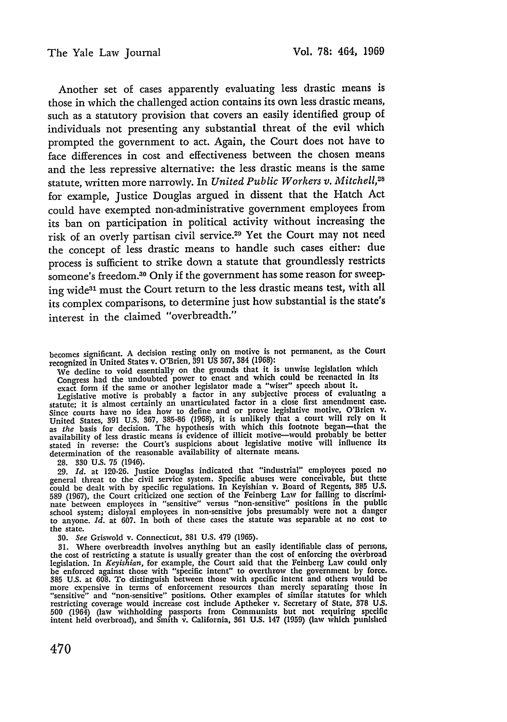Another set of cases apparently evaluating less drastic means is those in which the challenged action contains its own less drastic means, such as a statutory provision that covers an easily identified group of individuals not presenting any substantial threat of the evil which prompted the government to act. Again, the Court does not have to face differences in cost and effectiveness between the chosen means and the less repressive alternative: the less drastic means is the same statute, written more narrowly. In *United Public Workers v. Mitchell,28* for example, Justice Douglas argued in dissent that the Hatch Act could have exempted non-administrative government employees from its ban on participation in political activity without increasing the risk of an overly partisan civil service. 29 Yet the Court may not need the concept of less drastic means to handle such cases either: due process is sufficient to strike down a statute that groundlessly restricts someone's freedom.<sup>30</sup> Only if the government has some reason for sweeping wide<sup>31</sup> must the Court return to the less drastic means test, with all its complex comparisons, to determine just how substantial is the state's interest in the claimed "overbreadth."

becomes significant. A decision resting only on motive is not permanent, as the Court recognized in United States v. O'Brien, **391** US 367, 384 (1968):

We decline to void essentially on the grounds that it is unwise legislation which Congress had the undoubted power to enact and which could be reenacted in its exact form if the same or another legislator made a "wiser" speech about it.<br>Legislative motive is probably a factor in any subjective process o

statute; it is almost certainly an unarticulated factor in a close first amendment case. Since courts have no idea how to define and or prove legislative motive, O'Brien v. United States, 391 U.S. 367, 385-86 (1968), it is unlikely that a court will rely on it as the basis for decision. The hypothesis with which this footnote began—that the availability of less drastic means is evidence of il determination of the reasonable availability of alternate means.

28. **330** U.S. 75 (1946).

29. Id. at 120-26. Justice Douglas indicated that "industrial" employees posed no<br>general threat to the civil service system. Specific abuses were conceivable, but these<br>could be dealt with by specific regulations. In Keyi 589 (1967), the Court criticized one section of the Feinberg Law for failing to discrimi. nate between employees in "sensitive" versus "non-sensitive" positions in the public school system; disloyal employees in non-sensitive jobs presumably were not a danger to anyone. *Id.* at 607. In both of these cases the statute was separable at no cost to the state.

*30. See* Griswold v. Connecticut, 381 U.S. 479 (1965).

31. Where overbreadth involves anything but an easily identifiable class of persons, the cost of restricting a statute is usually greater than the cost of enforcing the overbroad legislation. In Keyishian, for example, the be enforced against those with "specific intent" to overthrow the government by force. **385** U.S. at 608. To distinguish between those with specific intent and others would be more expensive in terms of enforcement resources than merely separating those in<br>"sensitive" and "non-sensitive" positions. Other examples of similar statutes for which restricting coverage would increase cost include Aptheker v. Secretary of State, **378** U.S. 500 (1964) (law withholding passports from Communists but not requiring specific intent held overbroad), and Smith v. California, 361 U.S. 147 (1959) (law which punished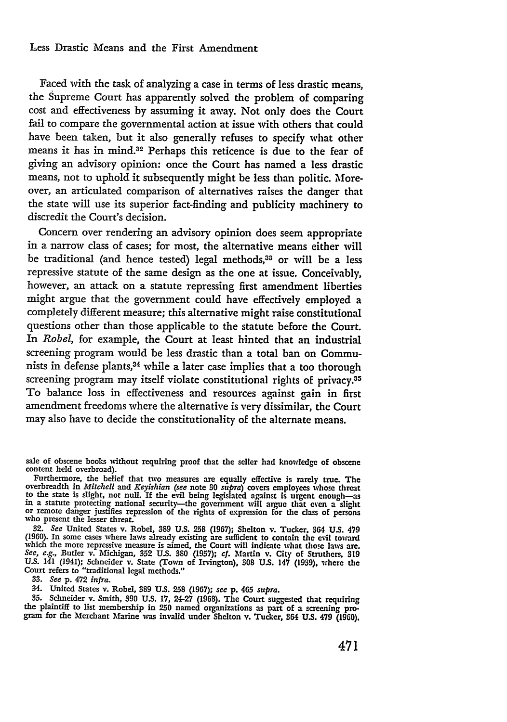## Less Drastic Means and the First Amendment

Faced with the task of analyzing a case in terms of less drastic means, the Supreme Court has apparently solved the problem of comparing cost and effectiveness **by** assuming it away. Not only does the Court fail to compare the governmental action at issue with others that could have been taken, but it also generally refuses to specify what other means it has in mind.32 Perhaps this reticence is due to the fear of giving an advisory opinion: once the Court has named a less drastic means, not to uphold it subsequently might be less than politic. Moreover, an articulated comparison of alternatives raises the danger that the state will use its superior fact-finding and publicity machinery to discredit the Court's decision.

Concern over rendering an advisory opinion does seem appropriate in a narrow class of cases; for most, the alternative means either will be traditional (and hence tested) legal methods,<sup>33</sup> or will be a less repressive statute of the same design as the one at issue. Conceivably, however, an attack on a statute repressing first amendment liberties might argue that the government could have effectively employed a completely different measure; this alternative might raise constitutional questions other than those applicable to the statute before the Court. In *Robel,* for example, the Court at least hinted that an industrial screening program would be less drastic than a total ban on Communists in defense plants, $34$  while a later case implies that a too thorough screening program may itself violate constitutional rights of privacy.<sup>35</sup> To balance loss in effectiveness and resources against gain in first amendment freedoms where the alternative is very dissimilar, the Court may also have to decide the constitutionality of the alternate means.

sale of obscene books without requiring proof that the seller had knowledge of obscene content held overbroad).

content held overbroad). Furthermore, the belief that two measures are equally effective is rarely true. The overbreadth in *Mitchell and Keyishian (see* note **80** supra) covers employees whose threat to the state is slight, not null. If the evil being legislated against is urgent enough—as<br>in a statute protecting national security—the government will argue that even a slight<br>or remote danger justifies repression of the

**32.** *See* United States v. Robel, **389** U.S. **258** (1967); Shelton v. Tucker. 864 **U.S.** <sup>479</sup> (1960). In some cases where laws already existing are sufficient to contain the evil toward which the more repressive measure is aimed, the Court will indicate what those laws are. *See, e.g.,* Butler v. Michigan, **352** US. **380 (1957);** *cf.* Martin v. City of Struthers. **<sup>319</sup>** US. 141 (1941); Schneider v. State (Town of Irvington), **308 U.S.** 147 **(1939),** where the Court refers to "traditional legal methods."

**33.** *See* p. 472 *infra.*

35. Schneider v. Smith, 390 U.S. 17, 24-27 (1968). The Court suggested that requiring the plaintiff to list membership in 250 named organizations as part of a screening program for the Merchant Marine was invalid under Shelton v. Tucker, 364 U.S. 479 (1960).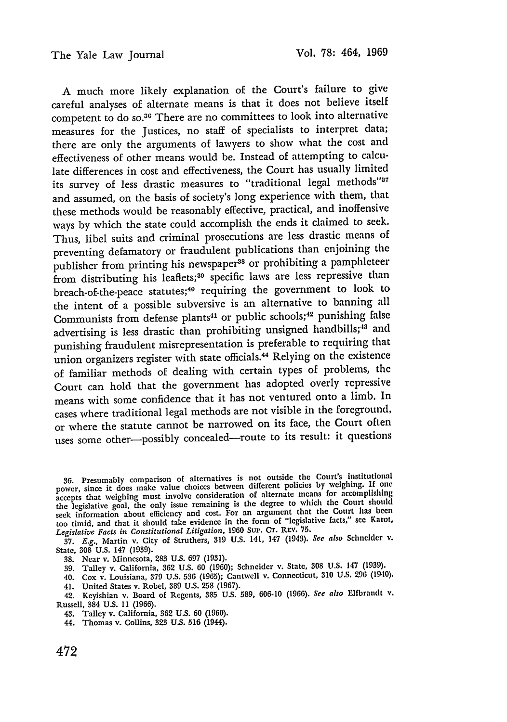A much more likely explanation of the Court's failure to give careful analyses of alternate means is that it does not believe itself competent to do so.<sup>36</sup> There are no committees to look into alternative measures for the Justices, no staff of specialists to interpret data; there are only the arguments of lawyers to show what the cost and effectiveness of other means would be. Instead of attempting to calculate differences in cost and effectiveness, the Court has usually limited its survey of less drastic measures to "traditional legal methods"<sup>37</sup> and assumed, on the basis of society's long experience with them, that these methods would be reasonably effective, practical, and inoffensive ways by which the state could accomplish the ends it claimed to seek. Thus, libel suits and criminal prosecutions are less drastic means of preventing defamatory or fraudulent publications than enjoining the publisher from printing his newspaper<sup>38</sup> or prohibiting a pamphleteer from distributing his leaflets;<sup>39</sup> specific laws are less repressive than breach-of-the-peace statutes; 40 requiring the government to look to the intent of a possible subversive is an alternative to banning all Communists from defense plants<sup>41</sup> or public schools;<sup>42</sup> punishing false advertising is less drastic than prohibiting unsigned handbills;<sup>18</sup> and punishing fraudulent misrepresentation is preferable to requiring that union organizers register with state officials.<sup>44</sup> Relying on the existence of familiar methods of dealing with certain types of problems, the Court can hold that the government has adopted overly repressive means with some confidence that it has not ventured onto a limb. In cases where traditional legal methods are not visible in the foreground, or where the statute cannot be narrowed on its face, the Court often uses some other-possibly concealed-route to its result: it questions

37. *E.g.,* Martin v. City of Struthers, **319** U.S. 141, 147 (1943). *See also* Schneider v. State, 308 U.S. 147 (1939).

38. Near v. Minnesota, 283 U.S. 697 (1931).

39. Talley v. California, **362** U.S. 60 (1960); Schneider v. State, 308 U.S. 147 (1939).

40. Cox v. Louisiana, 379 U.S. 536 (1965); Cantwell v. Connecticut, 310 U.S. **296** (1940).

41. United States v. Robel, 389 U.S. 258 (1967).

42. Keyishian v. Board of Regents, **385** U.S. 589, 606-10 (1966). *See also* Elfbrandt v. Russell, 384 U.S. 11 (1966).

43. Talley v. California, 362 U.S. 60 (1960).

44. Thomas v. Collins, 323 **U.S. 516** (1944).

**<sup>36.</sup>** Presumably comparison of alternatives is not outside the Court's institutional power, since it does make value choices between different policies by weighing. If **one** accepts that weighing must involve consideration of alternate means for accomplishing the legislative goal, the only issue remaining is the degree to which the Court should seek information about efficiency and cost. For an argument that the Court has been<br>seek information about efficiency and cost. For an argument that the Court has been too timid, and that it should take evidence in the form of "legislative facts," see **Karot,** *Legislative Facts in Constitutional Litigation,* <sup>1960</sup>**Sup.** CT. REV. **75.**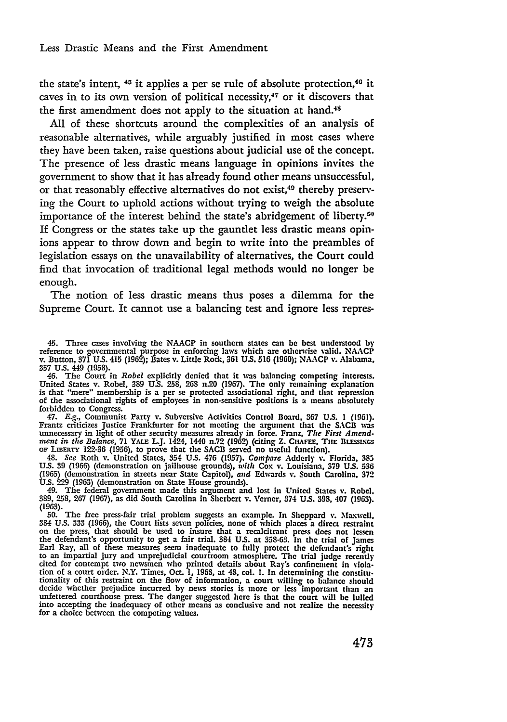the state's intent,  $45$  it applies a per se rule of absolute protection, $46$  it caves in to its own version of political necessity,47 or it discovers that the first amendment does not apply to the situation at hand.<sup>48</sup>

**All** of these shortcuts around the complexities of an analysis of reasonable alternatives, while arguably justified in most cases where they have been taken, raise questions about judicial use of the concept. The presence of less drastic means language in opinions invites the government to show that it has already found other means unsuccessful, or that reasonably effective alternatives do not exist,<sup>49</sup> thereby preserving the Court to uphold actions without trying to weigh the absolute importance of the interest behind the state's abridgement of liberty.<sup>50</sup> If Congress or the states take up the gauntlet less drastic means opinions appear to throw down and begin to write into the preambles of legislation essays on the unavailability of alternatives, the Court could find that invocation of traditional legal methods would no longer **be** enough.

The notion of less drastic means thus poses a dilemma for the Supreme Court. It cannot use a balancing test and ignore less repres-

**357** U.S. 449 (1958). 46. The Court in *Robel* explicitly denied that it was balancing competing interests. United States v. Robel, **389 U.S.** 258, **268** n.20 (1967). The only remaining explanation is that "mere" membership is a per se protected associational right, and that repression of the associational rights of employees in non-sensitive positions is a means absolutely forbidden to Congress. 47. *E.g.,* Communist Party v. Subversive Activities Control Board, **367 US.** 1 **(1961).**

Frantz criticizes Justice Frankfurter for not meeting the argument that the **SACB** was unnecessary in light of other security measures already in force. Franz, *The First Amend*ment in the Balance, 71 YALE L.J. 1424, 1440 n.72 (1962) (citing Z. CHAFEE, THE BLESSINGS<br>or LIBERTY 122-36 (1956), to prove that the SACB served no useful function).<br>48. See Roth v. United States, 354 U.S. 476 (1957). Com

**(1965)** (demonstration in streets near State Capitol), *and* Edwards v. South Carolina, 372

Ù.S. 229 (1963) (demonstration on State House grounds).<br>49. The federal government made this argument and lost in United States v. Robel.<br>389, 258, 267 (1967), as did South Carolina in Sherbert v. Verner, 374 U.S. 398, 407

**50.** The free press-fair trial problem suggests an example. In Sheppard **v.** Maxwell, **384 U.S.** 333 **(1966),** the Court lists seven policies, none of which places a direct restraint on the press, that should be used to insure that a recalcitrant press does not lessen the defendant's opportunity to get a fair trial. 384 **U.S.** at **358-63.** In the trial of James Earl Ray, all of these measures seem inadequate to full) protect the defendant's right to an impartial jury and unprejudicial courtroom atmosphere. The trial **judge** recently cited for contempt two newsmen who printed details about Ray's confinement in violation of a court order. N.Y. Times, Oct. 1, 1968, at 48, col. 1. In determining the constitutionality of this restraint on the flow of infor decide whether prejudice incurred **by** news stories is more or **less** important than an unfettered courthouse press. The danger suggested here is that the court will **be** lulled into accepting the inadequacy of other means as conclusive and not realize the necessity for a choice between the competing values.

*<sup>45.</sup>* Three cases involving the **NAACP** in southern states can **be** best understood **by** reference to governmental purpose in enforcing laws which are otherwise valid. NAACP v. Button, **371 U.S.** 415 **(1962);** Bates v. Little Rock, **361 U.S. 516 (1960);** NAACP v. Alabama.